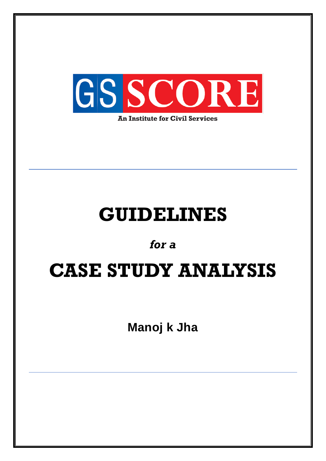

**GUIDELINES**

### *for a*

# **CASE STUDY ANALYSIS**

**Manoj k Jha**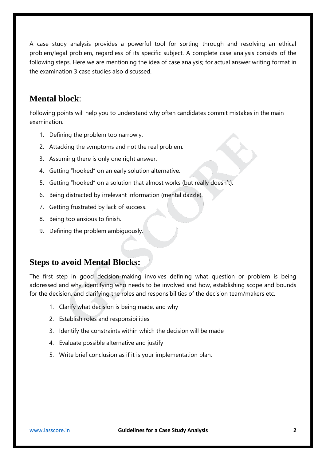A case study analysis provides a powerful tool for sorting through and resolving an ethical problem/legal problem, regardless of its specific subject. A complete case analysis consists of the following steps. Here we are mentioning the idea of case analysis; for actual answer writing format in the examination 3 case studies also discussed.

#### **Mental block**:

Following points will help you to understand why often candidates commit mistakes in the main examination.

- 1. Defining the problem too narrowly.
- 2. Attacking the symptoms and not the real problem.
- 3. Assuming there is only one right answer.
- 4. Getting "hooked" on an early solution alternative.
- 5. Getting "hooked" on a solution that almost works (but really doesn't).
- 6. Being distracted by irrelevant information (mental dazzle).
- 7. Getting frustrated by lack of success.
- 8. Being too anxious to finish.
- 9. Defining the problem ambiguously.

#### **Steps to avoid Mental Blocks:**

The first step in good decision-making involves defining what question or problem is being addressed and why, identifying who needs to be involved and how, establishing scope and bounds for the decision, and clarifying the roles and responsibilities of the decision team/makers etc.

- 1. Clarify what decision is being made, and why
- 2. Establish roles and responsibilities
- 3. Identify the constraints within which the decision will be made
- 4. Evaluate possible alternative and justify
- 5. Write brief conclusion as if it is your implementation plan.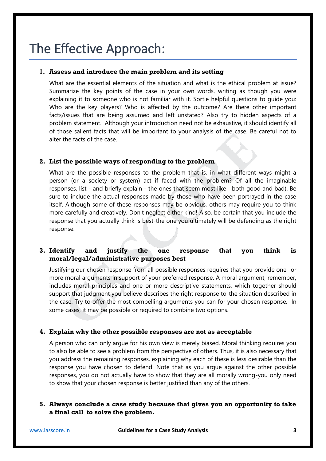### The Effective Approach:

#### 1. **Assess and introduce the main problem and its setting**

What are the essential elements of the situation and what is the ethical problem at issue? Summarize the key points of the case in your own words, writing as though you were explaining it to someone who is not familiar with it. Sortie helpful questions to guide you: Who are the key players? Who is affected by the outcome? Are there other important facts/issues that are being assumed and left unstated? Also try to hidden aspects of a problem statement. Although your introduction need not be exhaustive, it should identify all of those salient facts that will be important to your analysis of the case. Be careful not to alter the facts of the case.

#### **2. List the possible ways of responding to the problem**

What are the possible responses to the problem that is, in what different ways might a person (or a society or system) act if faced with the problem? Of all the imaginable responses, list - and briefly explain - the ones that seem most like both good and bad). Be sure to include the actual responses made by those who have been portrayed in the case itself. Although some of these responses may be obvious, others may require you to think more carefully and creatively. Don't neglect either kind! Also, be certain that you include the response that you actually think is best-the one you ultimately will be defending as the right response.

#### **3. Identify and justify the one response that you think is moral/legal/administrative purposes best**

Justifying our chosen response from all possible responses requires that you provide one- or more moral arguments in support of your preferred response. A moral argument, remember, includes moral principles and one or more descriptive statements, which together should support that judgment you believe describes the right response to-the situation described in the case. Try to offer the most compelling arguments you can for your chosen response. In some cases, it may be possible or required to combine two options.

#### **4. Explain why the other possible responses are not as acceptable**

A person who can only argue for his own view is merely biased. Moral thinking requires you to also be able to see a problem from the perspective of others. Thus, it is also necessary that you address the remaining responses, explaining why each of these is less desirable than the response you have chosen to defend. Note that as you argue against the other possible responses, you do not actually have to show that they are all morally wrong-you only need to show that your chosen response is better justified than any of the others.

#### **5. Always conclude a case study because that gives you an opportunity to take a final call to solve the problem.**

<www.iasscore.in> **Guidelines for a Case Study Analysis 3**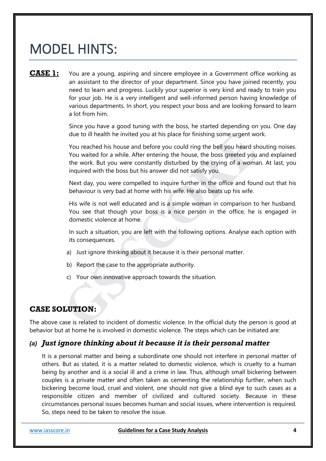## MODEL HINTS:

#### **CASE 1:** You are a young, aspiring and sincere employee in a Government office working as an assistant to the director of your department. Since you have joined recently, you need to learn and progress. Luckily your superior is very kind and ready to train you for your job. He is a very intelligent and well-informed person having knowledge of various departments. In short, you respect your boss and are looking forward to learn a lot from him.

Since you have a good tuning with the boss, he started depending on you. One day due to ill health he invited you at his place for finishing some urgent work.

You reached his house and before you could ring the bell you heard shouting noises. You waited for a while. After entering the house, the boss greeted you and explained the work. But you were constantly disturbed by the crying of a woman. At last, you inquired with the boss but his answer did not satisfy you.

Next day, you were compelled to inquire further in the office and found out that his behaviour is very bad at home with his wife. He also beats up his wife.

His wife is not well educated and is a simple woman in comparison to her husband. You see that though your boss is a nice person in the office, he is engaged in domestic violence at home.

In such a situation, you are left with the following options. Analyse each option with its consequences.

- a) Just ignore thinking about it because it is their personal matter.
- b) Report the case to the appropriate authority.
- c) Your own innovative approach towards the situation.

#### **CASE SOLUTION:**

The above case is related to incident of domestic violence. In the official duty the person is good at behavior but at home he is involved in domestic violence. The steps which can be initiated are:

#### *(a) Just ignore thinking about it because it is their personal matter*

It is a personal matter and being a subordinate one should not interfere in personal matter of others. But as stated, it is a matter related to domestic violence, which is cruelty to a human being by another and is a social ill and a crime in law. Thus, although small bickering between couples is a private matter and often taken as cementing the relationship further, when such bickering become loud, cruel and violent, one should not give a blind eye to such cases as a responsible citizen and member of civilized and cultured society. Because in these circumstances personal issues becomes human and social issues, where intervention is required. So, steps need to be taken to resolve the issue.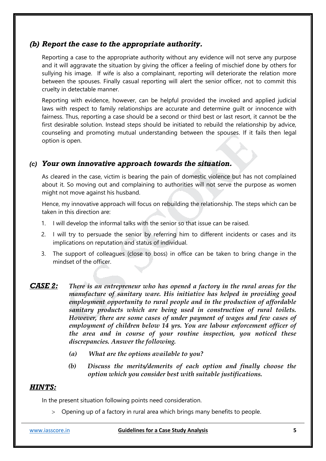#### *(b) Report the case to the appropriate authority.*

Reporting a case to the appropriate authority without any evidence will not serve any purpose and it will aggravate the situation by giving the officer a feeling of mischief done by others for sullying his image. If wife is also a complainant, reporting will deteriorate the relation more between the spouses. Finally casual reporting will alert the senior officer, not to commit this cruelty in detectable manner.

Reporting with evidence, however, can be helpful provided the invoked and applied judicial laws with respect to family relationships are accurate and determine guilt or innocence with fairness. Thus, reporting a case should be a second or third best or last resort, it cannot be the first desirable solution. Instead steps should be initiated to rebuild the relationship by advice, counseling and promoting mutual understanding between the spouses. If it fails then legal option is open.

#### *(c) Your own innovative approach towards the situation.*

As cleared in the case, victim is bearing the pain of domestic violence but has not complained about it. So moving out and complaining to authorities will not serve the purpose as women might not move against his husband.

Hence, my innovative approach will focus on rebuilding the relationship. The steps which can be taken in this direction are:

- 1. I will develop the informal talks with the senior so that issue can be raised.
- 2. I will try to persuade the senior by referring him to different incidents or cases and its implications on reputation and status of individual.
- 3. The support of colleagues (close to boss) in office can be taken to bring change in the mindset of the officer.
- *CASE 2: There is an entrepreneur who has opened a factory in the rural areas for the manufacture of sanitary ware. His initiative has helped in providing good employment opportunity to rural people and in the production of affordable sanitary products which are being used in construction of rural toilets. However, there are some cases of under payment of wages and few cases of employment of children below 14 yrs. You are labour enforcement officer of the area and in course of your routine inspection, you noticed these discrepancies. Answer the following.*
	- *(a) What are the options available to you?*
	- *(b) Discuss the merits/demerits of each option and finally choose the option which you consider best with suitable justifications.*

#### *HINTS:*

In the present situation following points need consideration.

Opening up of a factory in rural area which brings many benefits to people.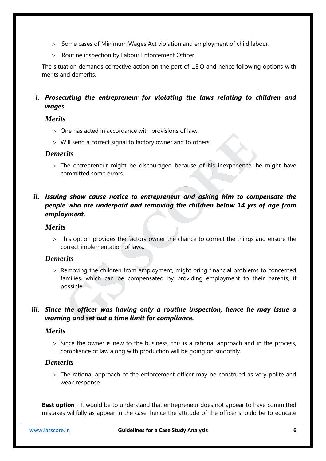- $>$  Some cases of Minimum Wages Act violation and employment of child labour.
- > Routine inspection by Labour Enforcement Officer.

The situation demands corrective action on the part of L.E.O and hence following options with merits and demerits.

#### *i. Prosecuting the entrepreneur for violating the laws relating to children and wages.*

#### *Merits*

- One has acted in accordance with provisions of law.
- Will send a correct signal to factory owner and to others.

#### *Demerits*

 $>$  The entrepreneur might be discouraged because of his inexperience, he might have committed some errors.

#### *ii. Issuing show cause notice to entrepreneur and asking him to compensate the people who are underpaid and removing the children below 14 yrs of age from employment.*

#### *Merits*

 This option provides the factory owner the chance to correct the things and ensure the correct implementation of laws.

#### *Demerits*

 Removing the children from employment, might bring financial problems to concerned families, which can be compensated by providing employment to their parents, if possible.

#### *iii. Since the officer was having only a routine inspection, hence he may issue a warning and set out a time limit for compliance.*

#### *Merits*

 $>$  Since the owner is new to the business, this is a rational approach and in the process, compliance of law along with production will be going on smoothly.

#### *Demerits*

 The rational approach of the enforcement officer may be construed as very polite and weak response.

**Best option** - It would be to understand that entrepreneur does not appear to have committed mistakes willfully as appear in the case, hence the attitude of the officer should be to educate